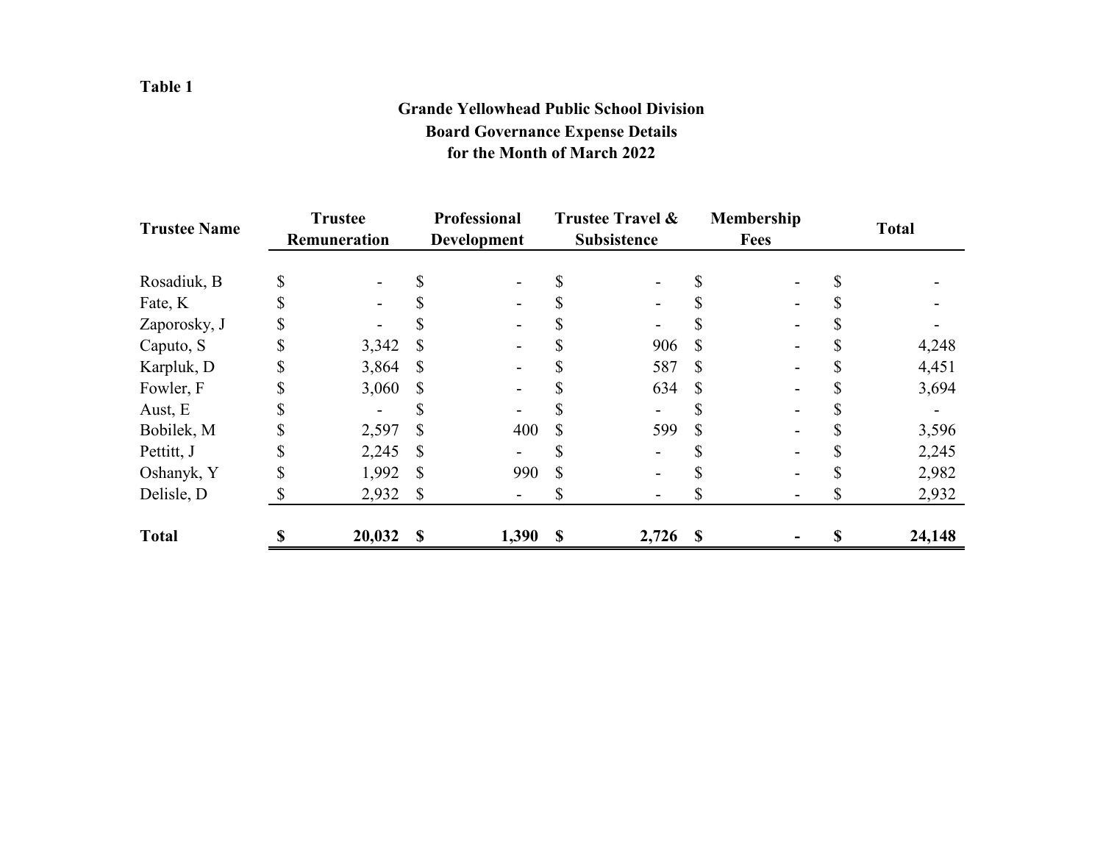## **Grande Yellowhead Public School Division Board Governance Expense Details for the Month of March 2022**

| <b>Trustee Name</b> | <b>Trustee</b><br>Remuneration |        | Professional<br><b>Development</b> |       | <b>Trustee Travel &amp;</b><br><b>Subsistence</b> |                          | Membership<br><b>Fees</b> |  | <b>Total</b> |        |
|---------------------|--------------------------------|--------|------------------------------------|-------|---------------------------------------------------|--------------------------|---------------------------|--|--------------|--------|
|                     |                                |        |                                    |       |                                                   |                          |                           |  |              |        |
| Rosadiuk, B         |                                |        |                                    |       |                                                   |                          |                           |  |              |        |
| Fate, K             |                                |        |                                    |       |                                                   | $\overline{\phantom{a}}$ |                           |  |              |        |
| Zaporosky, J        |                                |        |                                    |       |                                                   | $\overline{\phantom{a}}$ |                           |  |              |        |
| Caputo, S           |                                | 3,342  | \$                                 |       |                                                   | 906                      | S                         |  |              | 4,248  |
| Karpluk, D          |                                | 3,864  | S                                  |       |                                                   | 587                      | S                         |  |              | 4,451  |
| Fowler, F           |                                | 3,060  | \$                                 |       |                                                   | 634                      | \$                        |  |              | 3,694  |
| Aust, E             |                                |        |                                    |       |                                                   |                          |                           |  |              |        |
| Bobilek, M          |                                | 2,597  | \$                                 | 400   | \$                                                | 599                      | \$                        |  |              | 3,596  |
| Pettitt, J          |                                | 2,245  | \$                                 |       |                                                   |                          |                           |  |              | 2,245  |
| Oshanyk, Y          |                                | 1,992  | S                                  | 990   | \$.                                               | $\overline{\phantom{a}}$ |                           |  |              | 2,982  |
| Delisle, D          |                                | 2,932  | $\mathbb{S}$                       |       |                                                   | -                        |                           |  | J)           | 2,932  |
| <b>Total</b>        |                                | 20,032 | \$                                 | 1,390 | $\mathbf{\$}$                                     | $2,726$ \$               |                           |  | \$           | 24,148 |